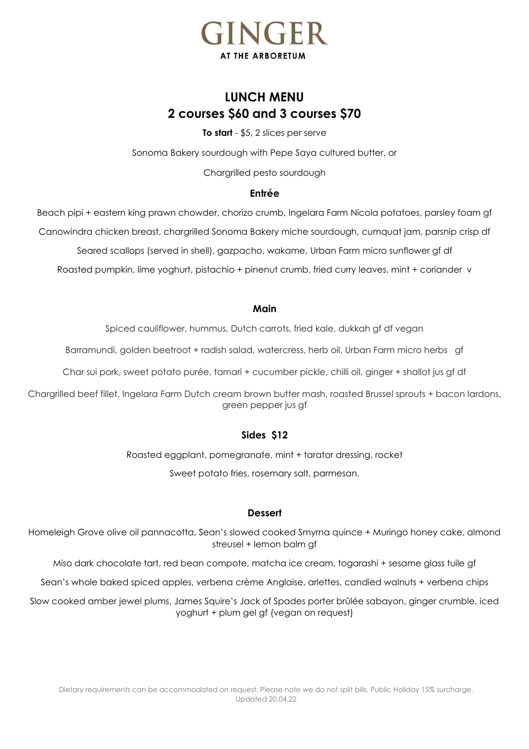

# **LUNCH MENU 2 courses \$60 and 3 courses \$70**

**To start** - \$5, 2 slices per serve

Sonoma Bakery sourdough with Pepe Saya cultured butter, or

Chargrilled pesto sourdough

## **Entrée**

Beach pipi + eastern king prawn chowder, chorizo crumb, Ingelara Farm Nicola potatoes, parsley foam gf Canowindra chicken breast, chargrilled Sonoma Bakery miche sourdough, cumquat jam, parsnip crisp df

Seared scallops (served in shell), gazpacho, wakame, Urban Farm micro sunflower gf df

Roasted pumpkin, lime yoghurt, pistachio + pinenut crumb, fried curry leaves, mint + coriander v

#### **Main**

Spiced cauliflower, hummus, Dutch carrots, fried kale, dukkah gf df vegan

Barramundi, golden beetroot + radish salad, watercress, herb oil, Urban Farm micro herbs gf

Char sui pork, sweet potato purée, tamari + cucumber pickle, chilli oil, ginger + shallot jus gf df

Chargrilled beef fillet, Ingelara Farm Dutch cream brown butter mash, roasted Brussel sprouts + bacon lardons, green pepper jus gf

## **Sides \$12**

Roasted eggplant, pomegranate, mint + tarator dressing, rocket Sweet potato fries, rosemary salt, parmesan.

#### **Dessert**

Homeleigh Grove olive oil pannacotta, Sean's slowed cooked Smyrna quince + Muringo honey cake, almond streusel + lemon balm gf

Miso dark chocolate tart, red bean compote, matcha ice cream, togarashi + sesame glass tuile gf

Sean's whole baked spiced apples, verbena crème Anglaise, arlettes, candied walnuts + verbena chips

Slow cooked amber jewel plums, James Squire's Jack of Spades porter brûlée sabayon, ginger crumble, iced yoghurt + plum gel gf (vegan on request)